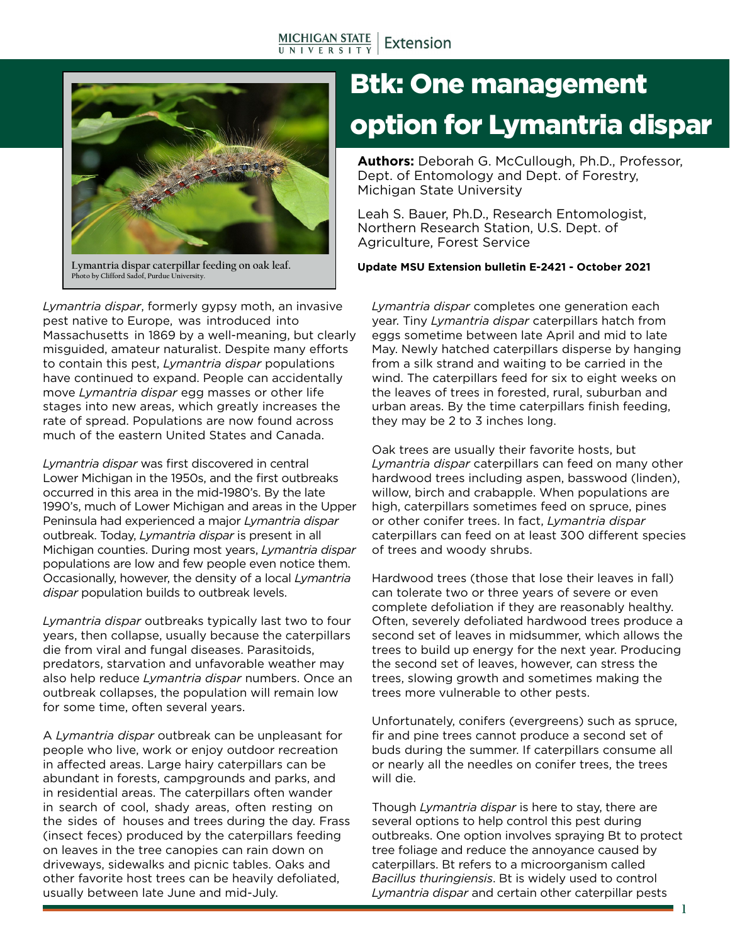

**Photo by Clifford Sadof, Purdue University.**

*Lymantria dispar*, formerly gypsy moth, an invasive pest native to Europe, was introduced into Massachusetts in 1869 by a well-meaning, but clearly misguided, amateur naturalist. Despite many efforts to contain this pest, *Lymantria dispar* populations have continued to expand. People can accidentally move *Lymantria dispar* egg masses or other life stages into new areas, which greatly increases the rate of spread. Populations are now found across much of the eastern United States and Canada.

*Lymantria dispar* was first discovered in central Lower Michigan in the 1950s, and the first outbreaks occurred in this area in the mid-1980's. By the late 1990's, much of Lower Michigan and areas in the Upper Peninsula had experienced a major *Lymantria dispar* outbreak. Today, *Lymantria dispar* is present in all Michigan counties. During most years, *Lymantria dispar*  populations are low and few people even notice them. Occasionally, however, the density of a local *Lymantria dispar* population builds to outbreak levels.

*Lymantria dispar* outbreaks typically last two to four years, then collapse, usually because the caterpillars die from viral and fungal diseases. Parasitoids, predators, starvation and unfavorable weather may also help reduce *Lymantria dispar* numbers. Once an outbreak collapses, the population will remain low for some time, often several years.

A *Lymantria dispar* outbreak can be unpleasant for people who live, work or enjoy outdoor recreation in affected areas. Large hairy caterpillars can be abundant in forests, campgrounds and parks, and in residential areas. The caterpillars often wander in search of cool, shady areas, often resting on the sides of houses and trees during the day. Frass (insect feces) produced by the caterpillars feeding on leaves in the tree canopies can rain down on driveways, sidewalks and picnic tables. Oaks and other favorite host trees can be heavily defoliated, usually between late June and mid-July.

# Btk: One management option for Lymantria dispar

**Authors:** Deborah G. McCullough, Ph.D., Professor, Dept. of Entomology and Dept. of Forestry, Michigan State University

Leah S. Bauer, Ph.D., Research Entomologist, Northern Research Station, U.S. Dept. of Agriculture, Forest Service

**Lymantria dispar caterpillar feeding on oak leaf. Update MSU Extension bulletin E-2421 - October 2021**

*Lymantria dispar* completes one generation each year. Tiny *Lymantria dispar* caterpillars hatch from eggs sometime between late April and mid to late May. Newly hatched caterpillars disperse by hanging from a silk strand and waiting to be carried in the wind. The caterpillars feed for six to eight weeks on the leaves of trees in forested, rural, suburban and urban areas. By the time caterpillars finish feeding, they may be 2 to 3 inches long.

Oak trees are usually their favorite hosts, but *Lymantria dispar* caterpillars can feed on many other hardwood trees including aspen, basswood (linden), willow, birch and crabapple. When populations are high, caterpillars sometimes feed on spruce, pines or other conifer trees. In fact, *Lymantria dispar* caterpillars can feed on at least 300 different species of trees and woody shrubs.

Hardwood trees (those that lose their leaves in fall) can tolerate two or three years of severe or even complete defoliation if they are reasonably healthy. Often, severely defoliated hardwood trees produce a second set of leaves in midsummer, which allows the trees to build up energy for the next year. Producing the second set of leaves, however, can stress the trees, slowing growth and sometimes making the trees more vulnerable to other pests.

Unfortunately, conifers (evergreens) such as spruce, fir and pine trees cannot produce a second set of buds during the summer. If caterpillars consume all or nearly all the needles on conifer trees, the trees will die.

Though *Lymantria dispar* is here to stay, there are several options to help control this pest during outbreaks. One option involves spraying Bt to protect tree foliage and reduce the annoyance caused by caterpillars. Bt refers to a microorganism called *Bacillus thuringiensis*. Bt is widely used to control *Lymantria dispar* and certain other caterpillar pests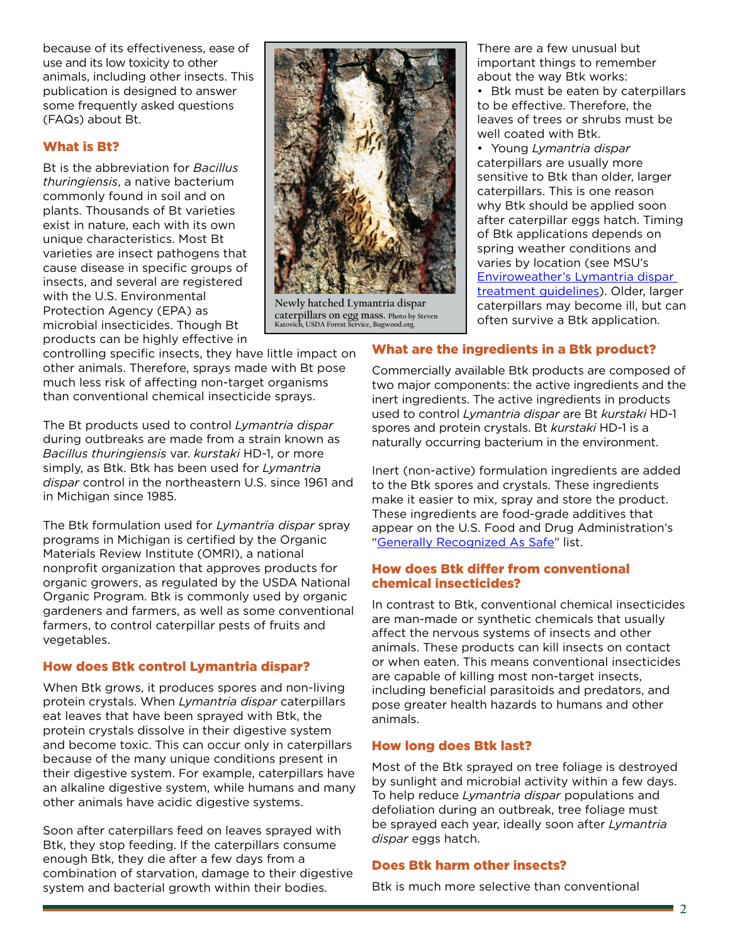because of its effectiveness, ease of use and its low toxicity to other animals, including other insects. This publication is designed to answer some frequently asked questions (FAQs) about Bt.

#### What is Bt?

Bt is the abbreviation for *Bacillus thuringiensis*, a native bacterium commonly found in soil and on plants. Thousands of Bt varieties exist in nature, each with its own unique characteristics. Most Bt varieties are insect pathogens that cause disease in specific groups of insects, and several are registered with the U.S. Environmental Protection Agency (EPA) as microbial insecticides. Though Bt products can be highly effective in



The Bt products used to control *Lymantria dispar* during outbreaks are made from a strain known as *Bacillus thuringiensis* var. *kurstaki* HD-1, or more simply, as Btk. Btk has been used for *Lymantria dispar* control in the northeastern U.S. since 1961 and in Michigan since 1985.

The Btk formulation used for *Lymantria dispar* spray programs in Michigan is certified by the Organic Materials Review Institute (OMRI), a national nonprofit organization that approves products for organic growers, as regulated by the USDA National Organic Program. Btk is commonly used by organic gardeners and farmers, as well as some conventional farmers, to control caterpillar pests of fruits and vegetables.

## How does Btk control Lymantria dispar?

When Btk grows, it produces spores and non-living protein crystals. When *Lymantria dispar* caterpillars eat leaves that have been sprayed with Btk, the protein crystals dissolve in their digestive system and become toxic. This can occur only in caterpillars because of the many unique conditions present in their digestive system. For example, caterpillars have an alkaline digestive system, while humans and many other animals have acidic digestive systems.

Soon after caterpillars feed on leaves sprayed with Btk, they stop feeding. If the caterpillars consume enough Btk, they die after a few days from a combination of starvation, damage to their digestive system and bacterial growth within their bodies.



**Newly hatched Lymantria dispar caterpillars on egg mass. Photo by Steven Katovich, USDA Forest Service, Bugwood.org.**

There are a few unusual but important things to remember about the way Btk works:

• Btk must be eaten by caterpillars to be effective. Therefore, the leaves of trees or shrubs must be well coated with Btk.

• Young *Lymantria dispar* caterpillars are usually more sensitive to Btk than older, larger caterpillars. This is one reason why Btk should be applied soon after caterpillar eggs hatch. Timing of Btk applications depends on spring weather conditions and varies by location (see MSU's [Enviroweather's Lymantria dispar](https://enviroweather.msu.edu/run.php?stn=msu&mod=c_gm&da1=2&mo1=10&da2=2&mo2=10&yr=2018&mc=186&ds=cd)  [treatment guidelines\)](https://enviroweather.msu.edu/run.php?stn=msu&mod=c_gm&da1=2&mo1=10&da2=2&mo2=10&yr=2018&mc=186&ds=cd). Older, larger caterpillars may become ill, but can often survive a Btk application.

# What are the ingredients in a Btk product?

Commercially available Btk products are composed of two major components: the active ingredients and the inert ingredients. The active ingredients in products used to control *Lymantria dispar* are Bt *kurstaki* HD-1 spores and protein crystals. Bt *kurstaki* HD-1 is a naturally occurring bacterium in the environment.

Inert (non-active) formulation ingredients are added to the Btk spores and crystals. These ingredients make it easier to mix, spray and store the product. These ingredients are food-grade additives that appear on the U.S. Food and Drug Administration's ["Generally Recognized As Safe](https://www.fda.gov/food/ingredientspackaginglabeling/gras/)" list.

#### How does Btk differ from conventional chemical insecticides?

In contrast to Btk, conventional chemical insecticides are man-made or synthetic chemicals that usually affect the nervous systems of insects and other animals. These products can kill insects on contact or when eaten. This means conventional insecticides are capable of killing most non-target insects, including beneficial parasitoids and predators, and pose greater health hazards to humans and other animals.

## How long does Btk last?

Most of the Btk sprayed on tree foliage is destroyed by sunlight and microbial activity within a few days. To help reduce *Lymantria dispar* populations and defoliation during an outbreak, tree foliage must be sprayed each year, ideally soon after *Lymantria dispar* eggs hatch.

#### Does Btk harm other insects?

Btk is much more selective than conventional